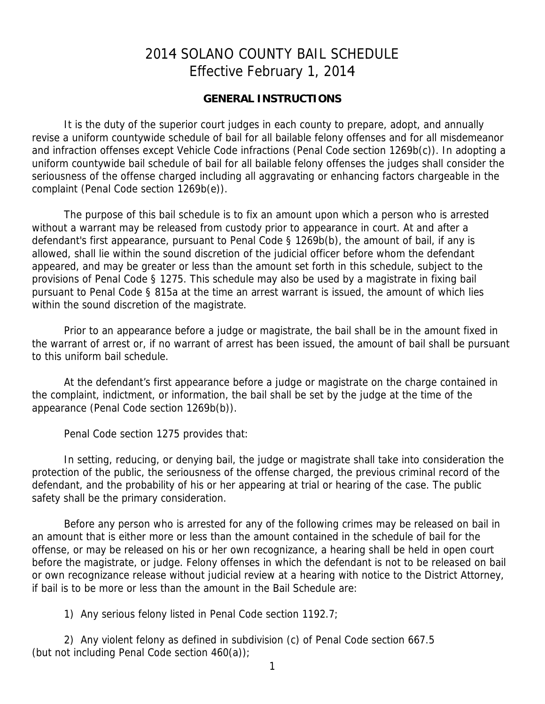# 2014 SOLANO COUNTY BAIL SCHEDULE Effective February 1, 2014

### **GENERAL INSTRUCTIONS**

It is the duty of the superior court judges in each county to prepare, adopt, and annually revise a uniform countywide schedule of bail for all bailable felony offenses and for all misdemeanor and infraction offenses except Vehicle Code infractions (Penal Code section 1269b(c)). In adopting a uniform countywide bail schedule of bail for all bailable felony offenses the judges shall consider the seriousness of the offense charged including all aggravating or enhancing factors chargeable in the complaint (Penal Code section 1269b(e)).

The purpose of this bail schedule is to fix an amount upon which a person who is arrested without a warrant may be released from custody prior to appearance in court. At and after a defendant's first appearance, pursuant to Penal Code § 1269b(b), the amount of bail, if any is allowed, shall lie within the sound discretion of the judicial officer before whom the defendant appeared, and may be greater or less than the amount set forth in this schedule, subject to the provisions of Penal Code § 1275. This schedule may also be used by a magistrate in fixing bail pursuant to Penal Code § 815a at the time an arrest warrant is issued, the amount of which lies within the sound discretion of the magistrate.

Prior to an appearance before a judge or magistrate, the bail shall be in the amount fixed in the warrant of arrest or, if no warrant of arrest has been issued, the amount of bail shall be pursuant to this uniform bail schedule.

At the defendant's first appearance before a judge or magistrate on the charge contained in the complaint, indictment, or information, the bail shall be set by the judge at the time of the appearance (Penal Code section 1269b(b)).

Penal Code section 1275 provides that:

In setting, reducing, or denying bail, the judge or magistrate shall take into consideration the protection of the public, the seriousness of the offense charged, the previous criminal record of the defendant, and the probability of his or her appearing at trial or hearing of the case. The public safety shall be the primary consideration.

Before any person who is arrested for any of the following crimes may be released on bail in an amount that is either more or less than the amount contained in the schedule of bail for the offense, or may be released on his or her own recognizance, a hearing shall be held in open court before the magistrate, or judge. Felony offenses in which the defendant is not to be released on bail or own recognizance release without judicial review at a hearing with notice to the District Attorney, if bail is to be more or less than the amount in the Bail Schedule are:

1) Any serious felony listed in Penal Code section 1192.7;

2) Any violent felony as defined in subdivision (c) of Penal Code section 667.5 (but not including Penal Code section 460(a));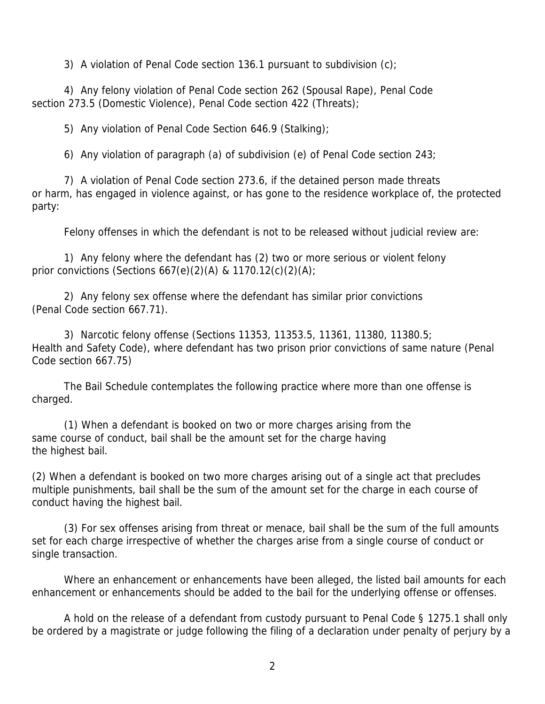3) A violation of Penal Code section 136.1 pursuant to subdivision  $(c)$ ;

4) Any felony violation of Penal Code section 262 (Spousal Rape), Penal Code section 273.5 (Domestic Violence), Penal Code section 422 (Threats);

5) Any violation of Penal Code Section 646.9 (Stalking);

6) Any violation of paragraph (a) of subdivision (e) of Penal Code section 243;

7) A violation of Penal Code section 273.6, if the detained person made threats or harm, has engaged in violence against, or has gone to the residence workplace of, the protected party:

Felony offenses in which the defendant is not to be released without judicial review are:

1) Any felony where the defendant has (2) two or more serious or violent felony prior convictions (Sections  $667(e)(2)(A)$  & 1170.12(c)(2)(A);

2) Any felony sex offense where the defendant has similar prior convictions (Penal Code section 667.71).

3) Narcotic felony offense (Sections 11353, 11353.5, 11361, 11380, 11380.5; Health and Safety Code), where defendant has two prison prior convictions of same nature (Penal Code section 667.75)

The Bail Schedule contemplates the following practice where more than one offense is charged.

(1) When a defendant is booked on two or more charges arising from the same course of conduct, bail shall be the amount set for the charge having the highest bail.

(2) When a defendant is booked on two more charges arising out of a single act that precludes multiple punishments, bail shall be the sum of the amount set for the charge in each course of conduct having the highest bail.

(3) For sex offenses arising from threat or menace, bail shall be the sum of the full amounts set for each charge irrespective of whether the charges arise from a single course of conduct or single transaction.

Where an enhancement or enhancements have been alleged, the listed bail amounts for each enhancement or enhancements should be added to the bail for the underlying offense or offenses.

A hold on the release of a defendant from custody pursuant to Penal Code § 1275.1 shall only be ordered by a magistrate or judge following the filing of a declaration under penalty of perjury by a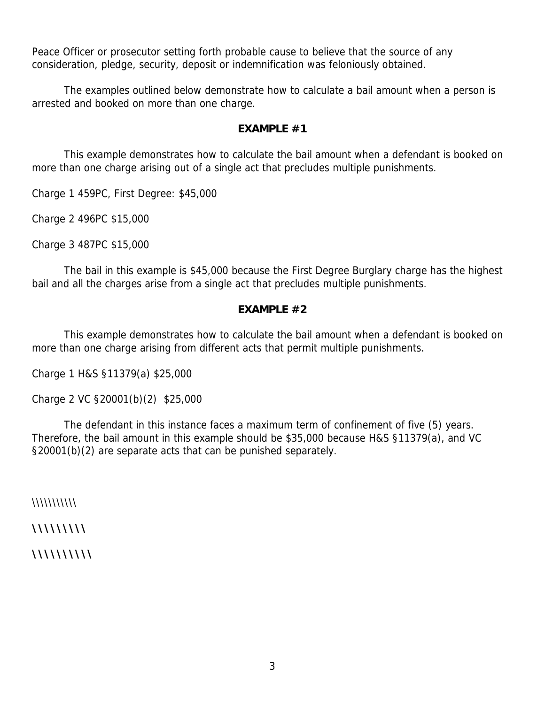Peace Officer or prosecutor setting forth probable cause to believe that the source of any consideration, pledge, security, deposit or indemnification was feloniously obtained.

The examples outlined below demonstrate how to calculate a bail amount when a person is arrested and booked on more than one charge.

# **EXAMPLE #1**

This example demonstrates how to calculate the bail amount when a defendant is booked on more than one charge arising out of a single act that precludes multiple punishments.

Charge 1 459PC, First Degree: \$45,000

Charge 2 496PC \$15,000

Charge 3 487PC \$15,000

The bail in this example is \$45,000 because the First Degree Burglary charge has the highest bail and all the charges arise from a single act that precludes multiple punishments.

### **EXAMPLE #2**

This example demonstrates how to calculate the bail amount when a defendant is booked on more than one charge arising from different acts that permit multiple punishments.

Charge 1 H&S §11379(a) \$25,000

Charge 2 VC §20001(b)(2) \$25,000

The defendant in this instance faces a maximum term of confinement of five (5) years. Therefore, the bail amount in this example should be \$35,000 because H&S §11379(a), and VC §20001(b)(2) are separate acts that can be punished separately.

 $\|\|\|\|\|\|\|\|\|\|\|\|$ 

\\\\\\\\\\\\

**\\\\\\\\\\**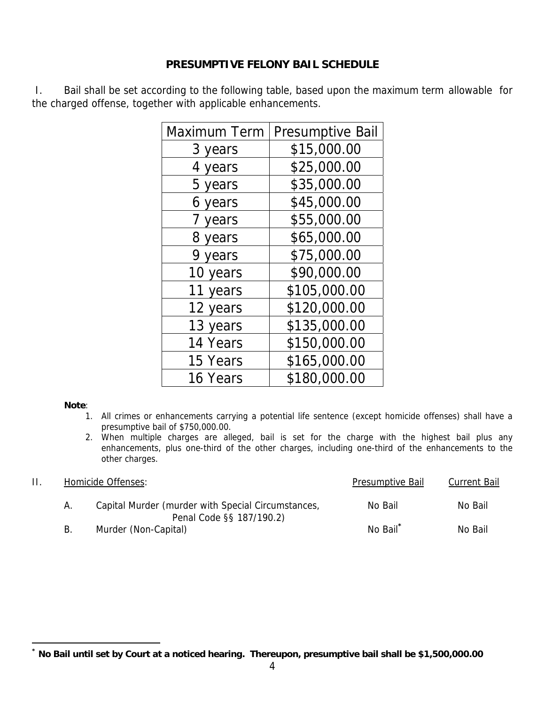# **PRESUMPTIVE FELONY BAIL SCHEDULE**

 I. Bail shall be set according to the following table, based upon the maximum term allowable for the charged offense, together with applicable enhancements.

| Maximum Term | <b>Presumptive Bail</b> |
|--------------|-------------------------|
| 3 years      | \$15,000.00             |
| 4 years      | \$25,000.00             |
| 5 years      | \$35,000.00             |
| 6 years      | \$45,000.00             |
| 7 years      | \$55,000.00             |
| 8 years      | \$65,000.00             |
| 9 years      | \$75,000.00             |
| 10 years     | \$90,000.00             |
| 11 years     | \$105,000.00            |
| 12 years     | \$120,000.00            |
| 13 years     | \$135,000.00            |
| 14 Years     | \$150,000.00            |
| 15 Years     | \$165,000.00            |
| 16 Years     | \$180,000.00            |

### **Note**:

- 1. All crimes or enhancements carrying a potential life sentence (except homicide offenses) shall have a presumptive bail of \$750,000.00.
- 2. When multiple charges are alleged, bail is set for the charge with the highest bail plus any enhancements, plus one-third of the other charges, including one-third of the enhancements to the other charges.

|    | Homicide Offenses:                                                             | Presumptive Bail     | <b>Current Bail</b> |
|----|--------------------------------------------------------------------------------|----------------------|---------------------|
| А. | Capital Murder (murder with Special Circumstances,<br>Penal Code §§ 187/190.2) | No Bail              | No Bail             |
| В. | Murder (Non-Capital)                                                           | No Bail <sup>*</sup> | No Bail             |

**<sup>\*</sup> No Bail until set by Court at a noticed hearing. Thereupon, presumptive bail shall be \$1,500,000.00**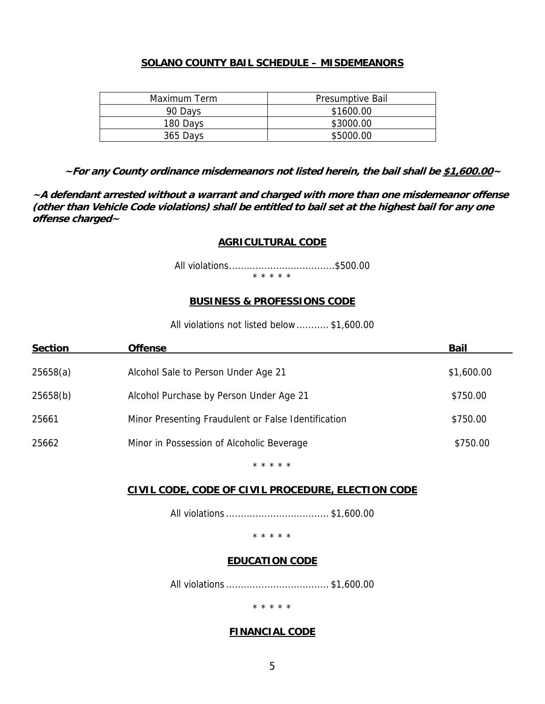# **SOLANO COUNTY BAIL SCHEDULE – MISDEMEANORS**

| Maximum Term | <b>Presumptive Bail</b> |
|--------------|-------------------------|
| 90 Days      | \$1600.00               |
| 180 Days     | \$3000.00               |
| 365 Days     | \$5000.00               |

**~For any County ordinance misdemeanors not listed herein, the bail shall be \$1,600.00~** 

**~A defendant arrested without a warrant and charged with more than one misdemeanor offense (other than Vehicle Code violations) shall be entitled to bail set at the highest bail for any one offense charged~**

#### **AGRICULTURAL CODE**

All violations .................................... \$500.00

\* \* \* \* \*

#### **BUSINESS & PROFESSIONS CODE**

All violations not listed below ........... \$1,600.00

| <b>Section</b> | <b>Offense</b>                                      | <b>Bail</b> |
|----------------|-----------------------------------------------------|-------------|
| 25658(a)       | Alcohol Sale to Person Under Age 21                 | \$1,600.00  |
| 25658(b)       | Alcohol Purchase by Person Under Age 21             | \$750.00    |
| 25661          | Minor Presenting Fraudulent or False Identification | \$750.00    |
| 25662          | Minor in Possession of Alcoholic Beverage           | \$750.00    |
|                |                                                     |             |

\* \* \* \* \*

#### **CIVIL CODE, CODE OF CIVIL PROCEDURE, ELECTION CODE**

All violations ................................... \$1,600.00

\* \* \* \* \*

#### **EDUCATION CODE**

All violations ................................... \$1,600.00

\* \* \* \* \*

#### **FINANCIAL CODE**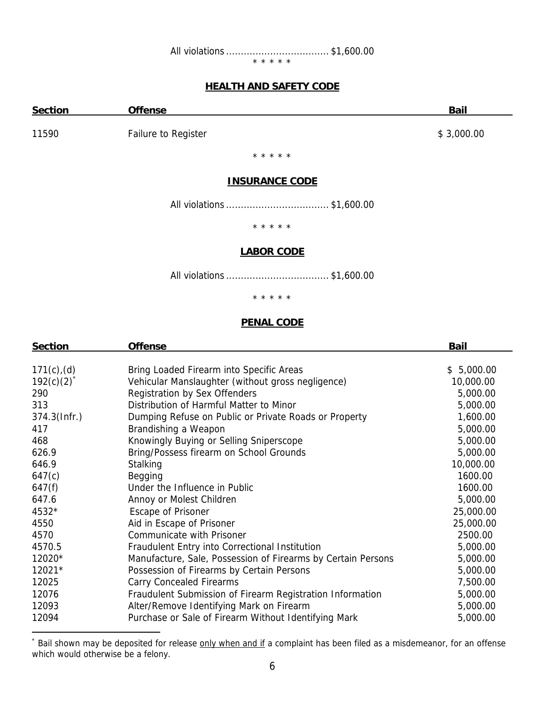\* \* \* \* \*

### **HEALTH AND SAFETY CODE**

| <b>Section</b> | <b>Offense</b>      | <b>Bail</b> |
|----------------|---------------------|-------------|
| 11590          | Failure to Register | \$3,000.00  |

\* \* \* \* \*

#### **INSURANCE CODE**

All violations ................................... \$1,600.00

\* \* \* \* \*

### **LABOR CODE**

All violations ................................... \$1,600.00

### \* \* \* \* \*

### **PENAL CODE**

| <b>Section</b>  | <b>Offense</b>                                               | <b>Bail</b> |  |
|-----------------|--------------------------------------------------------------|-------------|--|
|                 |                                                              |             |  |
| $171(c)$ , (d)  | Bring Loaded Firearm into Specific Areas                     | \$5,000.00  |  |
| $192(c)(2)^{*}$ | Vehicular Manslaughter (without gross negligence)            | 10,000.00   |  |
| 290             | <b>Registration by Sex Offenders</b>                         | 5,000.00    |  |
| 313             | Distribution of Harmful Matter to Minor                      | 5,000.00    |  |
| $374.3$ (Infr.) | Dumping Refuse on Public or Private Roads or Property        | 1,600.00    |  |
| 417             | Brandishing a Weapon                                         | 5,000.00    |  |
| 468             | Knowingly Buying or Selling Sniperscope                      | 5,000.00    |  |
| 626.9           | Bring/Possess firearm on School Grounds                      | 5,000.00    |  |
| 646.9           | Stalking                                                     | 10,000.00   |  |
| 647(c)          | Begging                                                      | 1600.00     |  |
| 647(f)          | Under the Influence in Public                                | 1600.00     |  |
| 647.6           | Annoy or Molest Children                                     | 5,000.00    |  |
| 4532*           | <b>Escape of Prisoner</b>                                    | 25,000.00   |  |
| 4550            | Aid in Escape of Prisoner                                    | 25,000.00   |  |
| 4570            | Communicate with Prisoner                                    | 2500.00     |  |
| 4570.5          | Fraudulent Entry into Correctional Institution               | 5,000.00    |  |
| 12020*          | Manufacture, Sale, Possession of Firearms by Certain Persons | 5,000.00    |  |
| 12021*          | Possession of Firearms by Certain Persons                    | 5,000.00    |  |
| 12025           | <b>Carry Concealed Firearms</b>                              | 7,500.00    |  |
| 12076           | Fraudulent Submission of Firearm Registration Information    | 5,000.00    |  |
| 12093           | Alter/Remove Identifying Mark on Firearm                     | 5,000.00    |  |
| 12094           | Purchase or Sale of Firearm Without Identifying Mark         | 5,000.00    |  |

<sup>\*</sup> Bail shown may be deposited for release **only when and if** a complaint has been filed as a misdemeanor, for an offense which would otherwise be a felony.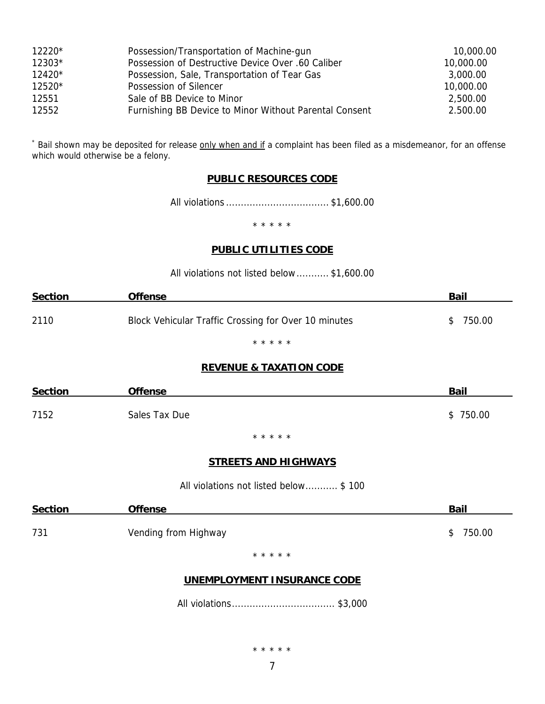| 12220* | Possession/Transportation of Machine-gun               | 10,000.00 |
|--------|--------------------------------------------------------|-----------|
| 12303* | Possession of Destructive Device Over .60 Caliber      | 10,000.00 |
| 12420* | Possession, Sale, Transportation of Tear Gas           | 3,000.00  |
| 12520* | Possession of Silencer                                 | 10,000.00 |
| 12551  | Sale of BB Device to Minor                             | 2,500.00  |
| 12552  | Furnishing BB Device to Minor Without Parental Consent | 2.500.00  |

\* Bail shown may be deposited for release **only when and if** a complaint has been filed as a misdemeanor, for an offense which would otherwise be a felony.

# **PUBLIC RESOURCES CODE**

All violations ................................... \$1,600.00

\* \* \* \* \*

#### **PUBLIC UTILITIES CODE**

|  |  |  |  | All violations not listed below\$1,600.00 |  |  |
|--|--|--|--|-------------------------------------------|--|--|
|--|--|--|--|-------------------------------------------|--|--|

| <b>Section</b> | <b>Offense</b>                                       | <b>Bail</b>  |
|----------------|------------------------------------------------------|--------------|
| 2110           | Block Vehicular Traffic Crossing for Over 10 minutes | 750.00<br>S. |
|                | * * * * *                                            |              |

#### **REVENUE & TAXATION CODE**

| <b>Section</b> | <b>Offense</b>                        | <b>Bail</b>  |
|----------------|---------------------------------------|--------------|
| 7152           | Sales Tax Due                         | \$750.00     |
|                | * * * * *                             |              |
|                | <b>STREETS AND HIGHWAYS</b>           |              |
|                | All violations not listed below \$100 |              |
| <b>Section</b> | <b>Offense</b>                        | <b>Bail</b>  |
| 731            | Vending from Highway                  | 750.00<br>\$ |
|                | * * * * *                             |              |

# **UNEMPLOYMENT INSURANCE CODE**

All violations ................................... \$3,000

\* \* \* \* \*